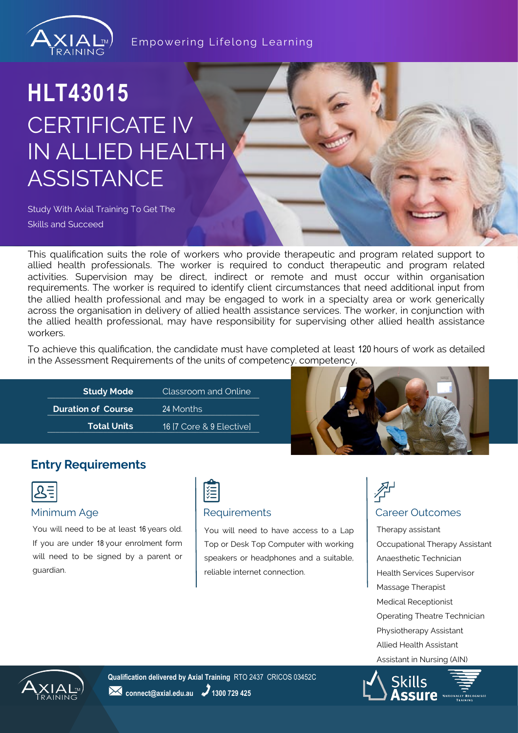

### **HLT43015** CERTIFICATE IV IN ALLIED HEALTH **ASSISTANCE**

Study With Axial Training To Get The Skills and Succeed

This qualification suits the role of workers who provide therapeutic and program related support to allied health professionals. The worker is required to conduct therapeutic and program related activities. Supervision may be direct, indirect or remote and must occur within organisation requirements. The worker is required to identify client circumstances that need additional input from the allied health professional and may be engaged to work in a specialty area or work generically across the organisation in delivery of allied health assistance services. The worker, in conjunction with the allied health professional, may have responsibility for supervising other allied health assistance workers.

To achieve this qualification, the candidate must have completed at least 120 hours of work as detailed in the Assessment Requirements of the units of competency. competency.

| <b>Study Mode</b>         | Classroom and Online     |
|---------------------------|--------------------------|
| <b>Duration of Course</b> | 24 Months                |
| <b>Total Units</b>        | 16 [7 Core & 9 Elective] |



### **Entry Requirements**

|--|

You will need to be at least 16 years old. If you are under 18 your enrolment form will need to be signed by a parent or guardian.



#### Minimum Age **Requirements Requirements Requirements Requirements Requirements**

You will need to have access to a Lap Top or Desk Top Computer with working speakers or headphones and a suitable, reliable internet connection.

## 孕

Therapy assistant Occupational Therapy Assistant Anaesthetic Technician Health Services Supervisor Massage Therapist Medical Receptionist Operating Theatre Technician Physiotherapy Assistant Allied Health Assistant Assistant in Nursing (AIN)



**Qualification delivered by Axial Training** RTO 2437 CRICOS 03452C **24** connect@axial.edu.au **2** 1300 729 425